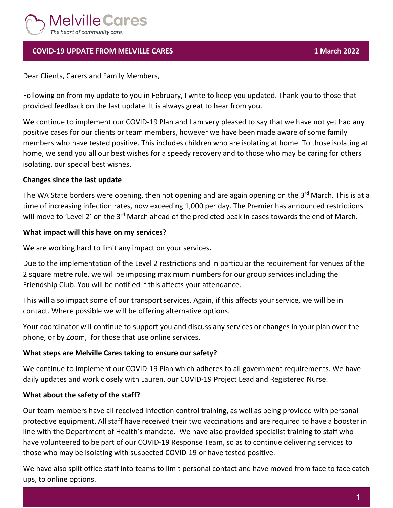

# **COVID-19 UPDATE FROM MELVILLE CARES 1 March 2022**

Dear Clients, Carers and Family Members,

Following on from my update to you in February, I write to keep you updated. Thank you to those that provided feedback on the last update. It is always great to hear from you.

We continue to implement our COVID-19 Plan and I am very pleased to say that we have not yet had any positive cases for our clients or team members, however we have been made aware of some family members who have tested positive. This includes children who are isolating at home. To those isolating at home, we send you all our best wishes for a speedy recovery and to those who may be caring for others isolating, our special best wishes.

## **Changes since the last update**

The WA State borders were opening, then not opening and are again opening on the 3<sup>rd</sup> March. This is at a time of increasing infection rates, now exceeding 1,000 per day. The Premier has announced restrictions will move to 'Level 2' on the 3<sup>rd</sup> March ahead of the predicted peak in cases towards the end of March.

## **What impact will this have on my services?**

We are working hard to limit any impact on your services**.** 

Due to the implementation of the Level 2 restrictions and in particular the requirement for venues of the 2 square metre rule, we will be imposing maximum numbers for our group services including the Friendship Club. You will be notified if this affects your attendance.

This will also impact some of our transport services. Again, if this affects your service, we will be in contact. Where possible we will be offering alternative options.

Your coordinator will continue to support you and discuss any services or changes in your plan over the phone, or by Zoom, for those that use online services.

## **What steps are Melville Cares taking to ensure our safety?**

We continue to implement our COVID-19 Plan which adheres to all government requirements. We have daily updates and work closely with Lauren, our COVID-19 Project Lead and Registered Nurse.

## **What about the safety of the staff?**

Our team members have all received infection control training, as well as being provided with personal protective equipment. All staff have received their two vaccinations and are required to have a booster in line with the Department of Health's mandate. We have also provided specialist training to staff who have volunteered to be part of our COVID-19 Response Team, so as to continue delivering services to those who may be isolating with suspected COVID-19 or have tested positive.

We have also split office staff into teams to limit personal contact and have moved from face to face catch ups, to online options.